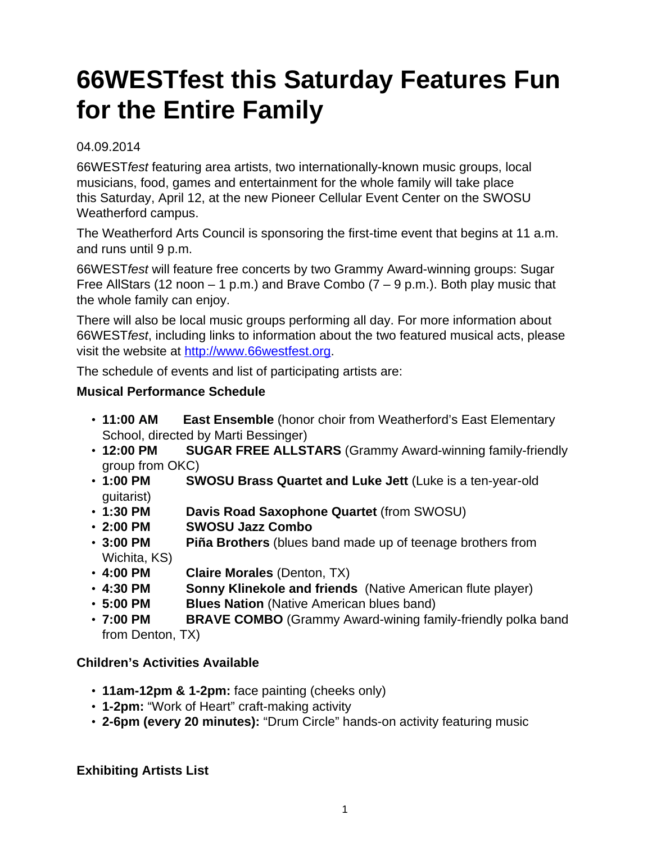# **66WESTfest this Saturday Features Fun for the Entire Family**

### 04.09.2014

66WESTfest featuring area artists, two internationally-known music groups, local musicians, food, games and entertainment for the whole family will take place this Saturday, April 12, at the new Pioneer Cellular Event Center on the SWOSU Weatherford campus.

The Weatherford Arts Council is sponsoring the first-time event that begins at 11 a.m. and runs until 9 p.m.

66WESTfest will feature free concerts by two Grammy Award-winning groups: Sugar Free AllStars (12 noon  $-$  1 p.m.) and Brave Combo (7  $-$  9 p.m.). Both play music that the whole family can enjoy.

There will also be local music groups performing all day. For more information about 66WESTfest, including links to information about the two featured musical acts, please visit the website at [http://www.66westfest.org.](http://www.66westfest.org)

The schedule of events and list of participating artists are:

## **Musical Performance Schedule**

- **11:00 AM East Ensemble** (honor choir from Weatherford's East Elementary School, directed by Marti Bessinger)
- **12:00 PM SUGAR FREE ALLSTARS** (Grammy Award-winning family-friendly group from OKC)
- **1:00 PM SWOSU Brass Quartet and Luke Jett** (Luke is a ten-year-old guitarist)
- **1:30 PM Davis Road Saxophone Quartet** (from SWOSU)
- **2:00 PM SWOSU Jazz Combo**
- **3:00 PM Piña Brothers** (blues band made up of teenage brothers from Wichita, KS)
- **4:00 PM Claire Morales** (Denton, TX)
- **4:30 PM Sonny Klinekole and friends** (Native American flute player)
- **5:00 PM Blues Nation** (Native American blues band)
- **7:00 PM BRAVE COMBO** (Grammy Award-wining family-friendly polka band from Denton, TX)

## **Children's Activities Available**

- **11am-12pm & 1-2pm:** face painting (cheeks only)
- **1-2pm:** "Work of Heart" craft-making activity
- **2-6pm (every 20 minutes):** "Drum Circle" hands-on activity featuring music

## **Exhibiting Artists List**